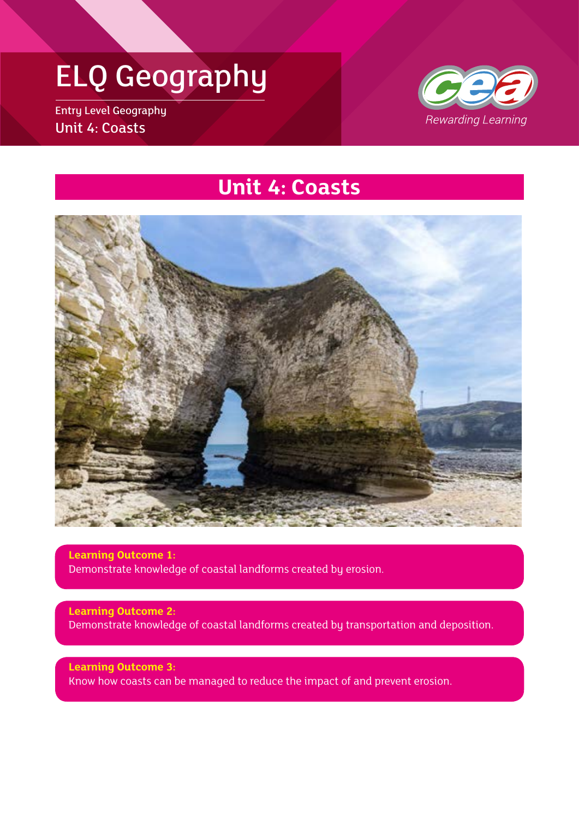Entry Level Geography Unit 4: Coasts



### **Unit 4: Coasts**



**Learning Outcome 1:** Demonstrate knowledge of coastal landforms created by erosion.

**Learning Outcome 2:** Demonstrate knowledge of coastal landforms created by transportation and deposition.

**Learning Outcome 3:** Know how coasts can be managed to reduce the impact of and prevent erosion.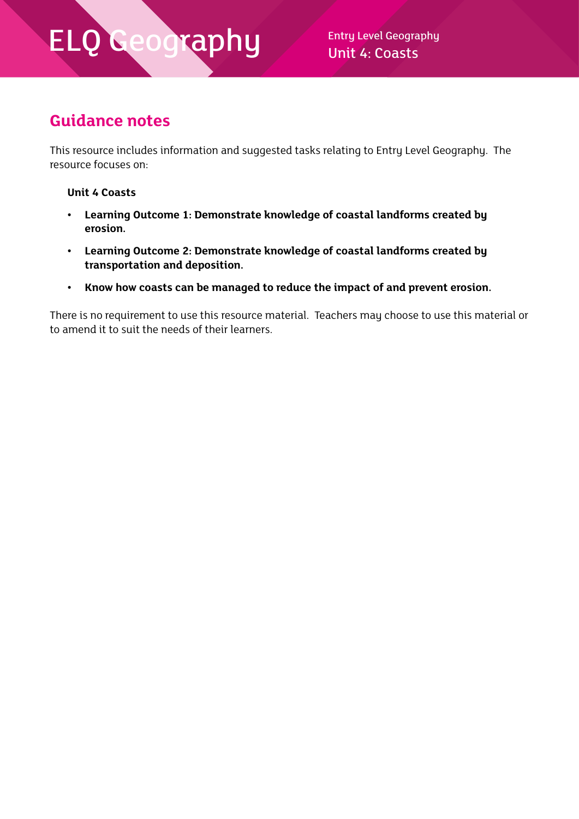Unit 4: Coasts

#### **Guidance notes**

This resource includes information and suggested tasks relating to Entry Level Geography. The resource focuses on:

#### **Unit 4 Coasts**

- **• Learning Outcome 1: Demonstrate knowledge of coastal landforms created by erosion.**
- **• Learning Outcome 2: Demonstrate knowledge of coastal landforms created by transportation and deposition.**
- **• Know how coasts can be managed to reduce the impact of and prevent erosion.**

There is no requirement to use this resource material. Teachers may choose to use this material or to amend it to suit the needs of their learners.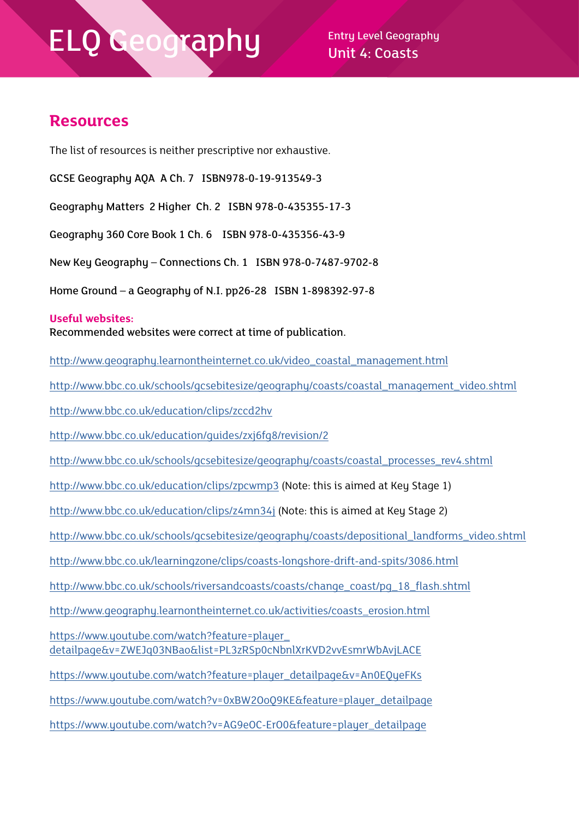$\mathsf{cap}\mathsf{h}\mathsf{u}$  Entry Level Geography Unit 4: Coasts

#### **Resources**

The list of resources is neither prescriptive nor exhaustive.

GCSE Geography AQA A Ch. 7 ISBN978-0-19-913549-3

Geography Matters 2 Higher Ch. 2 ISBN 978-0-435355-17-3

Geography 360 Core Book 1 Ch. 6 ISBN 978-0-435356-43-9

New Key Geography – Connections Ch. 1 ISBN 978-0-7487-9702-8

Home Ground – a Geography of N.I. pp26-28 ISBN 1-898392-97-8

#### **Useful websites:**

Recommended websites were correct at time of publication.

http://www.geography.learnontheinternet.co.uk/video\_coastal\_management.html

http://www.bbc.co.uk/schools/gcsebitesize/geography/coasts/coastal\_management\_video.shtml

<http://www.bbc.co.uk/education/clips/zccd2hv>

<http://www.bbc.co.uk/education/guides/zxj6fg8/revision/2>

[http://www.bbc.co.uk/schools/gcsebitesize/geography/coasts/coastal\\_processes\\_rev4.shtml](http://www.bbc.co.uk/schools/gcsebitesize/geography/coasts/coastal_processes_rev4.shtml)

<http://www.bbc.co.uk/education/clips/zpcwmp3>(Note: this is aimed at Key Stage 1)

<http://www.bbc.co.uk/education/clips/z4mn34j> (Note: this is aimed at Key Stage 2)

[http://www.bbc.co.uk/schools/gcsebitesize/geography/coasts/depositional\\_landforms\\_video.shtml](http://www.bbc.co.uk/schools/gcsebitesize/geography/coasts/depositional_landforms_video.shtml)

<http://www.bbc.co.uk/learningzone/clips/coasts-longshore-drift-and-spits/3086.html>

[http://www.bbc.co.uk/schools/riversandcoasts/coasts/change\\_coast/pg\\_18\\_flash.shtml](http://www.bbc.co.uk/schools/riversandcoasts/coasts/change_coast/pg_18_flash.shtml)

[http://www.geography.learnontheinternet.co.uk/activities/coasts\\_erosion.html](http://www.geography.learnontheinternet.co.uk/activities/coasts_erosion.html)

https://www.youtube.com/watch?feature=player [detailpage&v=ZWEJq03NBao&list=PL3zRSp0cNbnlXrKVD2vvEsmrWbAvjLACE](https://www.youtube.com/watch?feature=player_detailpage&v=ZWEJq03NBao&list=PL3zRSp0cNbnlXrKVD2vvEsmrWbAvjLACE)

[https://www.youtube.com/watch?feature=player\\_detailpage&v=An0EQyeFKs](https://www.youtube.com/watch?feature=player_detailpage&v=An0EQyeFKs)

[https://www.youtube.com/watch?v=0xBW2OoQ9KE&feature=player\\_detailpage](https://www.youtube.com/watch?v=0xBW2OoQ9KE&feature=player_detailpage)

[https://www.youtube.com/watch?v=AG9eOC-ErO0&feature=player\\_detailpage](https://www.youtube.com/watch?v=AG9eOC-ErO0&feature=player_detailpage)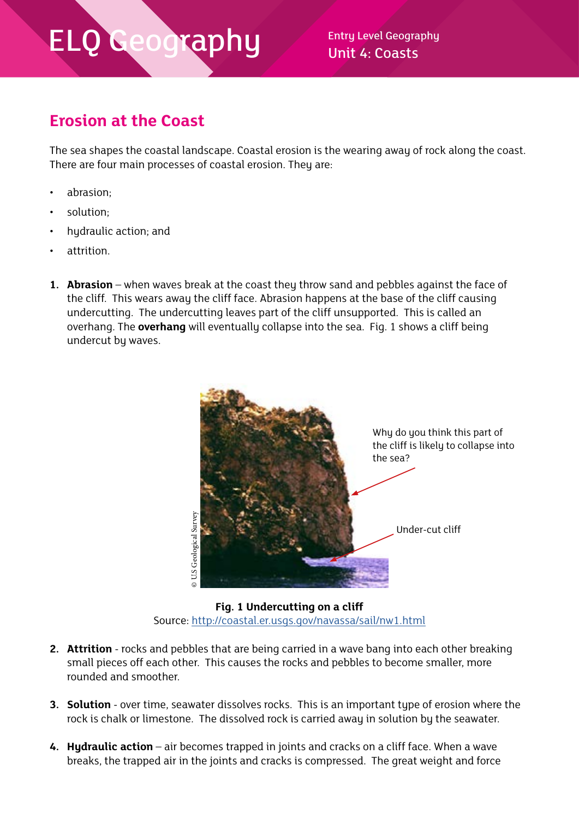Unit 4: Coasts

#### **Erosion at the Coast**

The sea shapes the coastal landscape. Coastal erosion is the wearing away of rock along the coast. There are four main processes of coastal erosion. They are:

- abrasion;
- solution;
- hydraulic action; and
- attrition.
- **1. Abrasion** when waves break at the coast they throw sand and pebbles against the face of the cliff. This wears away the cliff face. Abrasion happens at the base of the cliff causing undercutting. The undercutting leaves part of the cliff unsupported. This is called an overhang. The **overhang** will eventually collapse into the sea. Fig. 1 shows a cliff being undercut by waves.



**Fig. 1 Undercutting on a cliff** Source:<http://coastal.er.usgs.gov/navassa/sail/nw1.html>

- **2. Attrition** rocks and pebbles that are being carried in a wave bang into each other breaking small pieces off each other. This causes the rocks and pebbles to become smaller, more rounded and smoother.
- **3. Solution** over time, seawater dissolves rocks. This is an important type of erosion where the rock is chalk or limestone. The dissolved rock is carried away in solution by the seawater.
- **4. Hydraulic action** air becomes trapped in joints and cracks on a cliff face. When a wave breaks, the trapped air in the joints and cracks is compressed. The great weight and force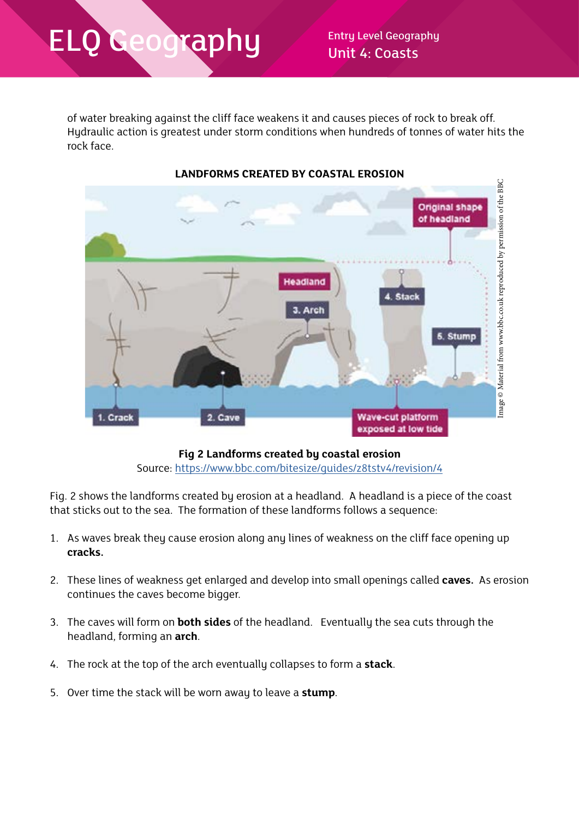of water breaking against the cliff face weakens it and causes pieces of rock to break off. Hydraulic action is greatest under storm conditions when hundreds of tonnes of water hits the rock face.



#### **LANDFORMS CREATED BY COASTAL EROSION**

**Fig 2 Landforms created by coastal erosion** Source: <https://www.bbc.com/bitesize/guides/z8tstv4/revision/4>

Fig. 2 shows the landforms created by erosion at a headland. A headland is a piece of the coast that sticks out to the sea. The formation of these landforms follows a sequence:

- 1. As waves break they cause erosion along any lines of weakness on the cliff face opening up **cracks.**
- 2. These lines of weakness get enlarged and develop into small openings called **caves.** As erosion continues the caves become bigger.
- 3. The caves will form on **both sides** of the headland. Eventually the sea cuts through the headland, forming an **arch**.
- 4. The rock at the top of the arch eventually collapses to form a **stack**.
- 5. Over time the stack will be worn away to leave a **stump**.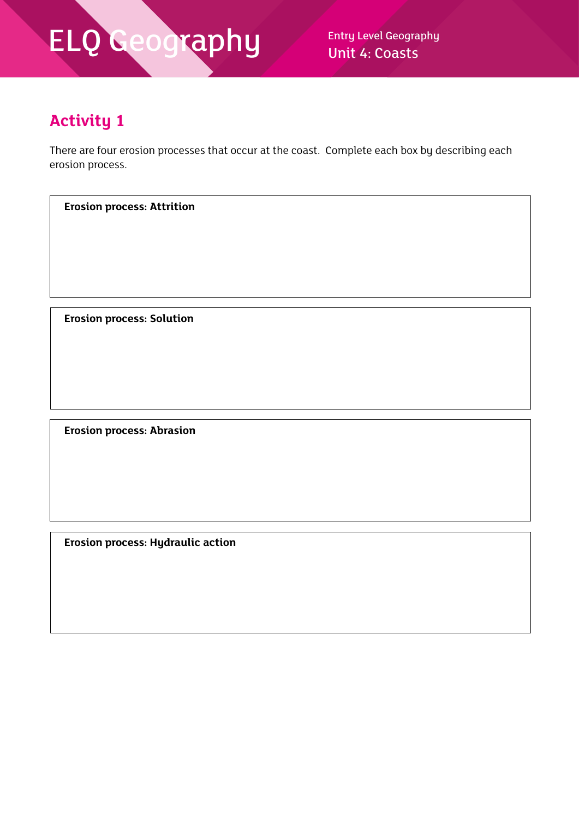Unit 4: Coasts

### **Activity 1**

There are four erosion processes that occur at the coast. Complete each box by describing each erosion process.

**Erosion process: Attrition**

**Erosion process: Solution**

**Erosion process: Abrasion**

**Erosion process: Hydraulic action**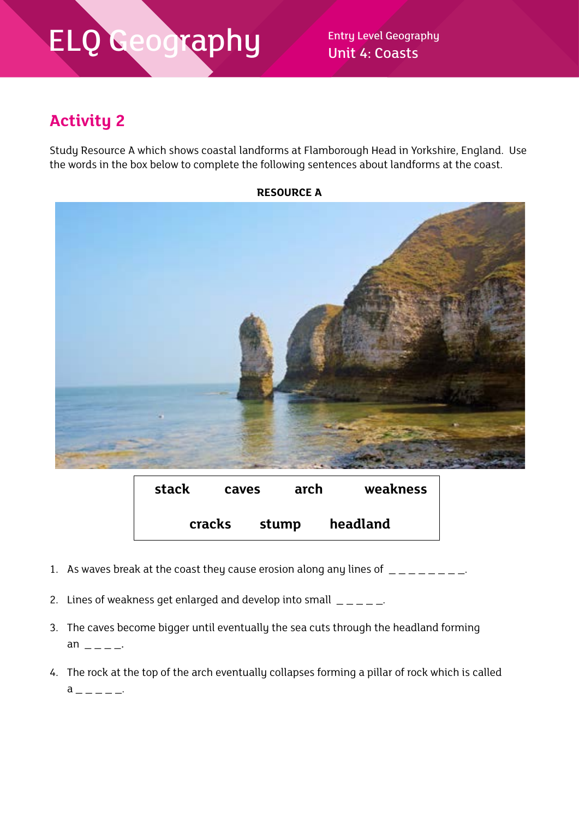Unit 4: Coasts

### **Activity 2**

Study Resource A which shows coastal landforms at Flamborough Head in Yorkshire, England. Use the words in the box below to complete the following sentences about landforms at the coast.



| stack | caves  |       | arch | weakness |
|-------|--------|-------|------|----------|
|       | cracks | stump |      | headland |

- 1. As waves break at the coast they cause erosion along any lines of  $\frac{1}{2} \frac{1}{2} \frac{1}{2}$ .
- 2. Lines of weakness get enlarged and develop into small  $\frac{1}{2}$
- 3. The caves become bigger until eventually the sea cuts through the headland forming an  $-$
- 4. The rock at the top of the arch eventually collapses forming a pillar of rock which is called  $a$  \_ \_ \_ \_ \_.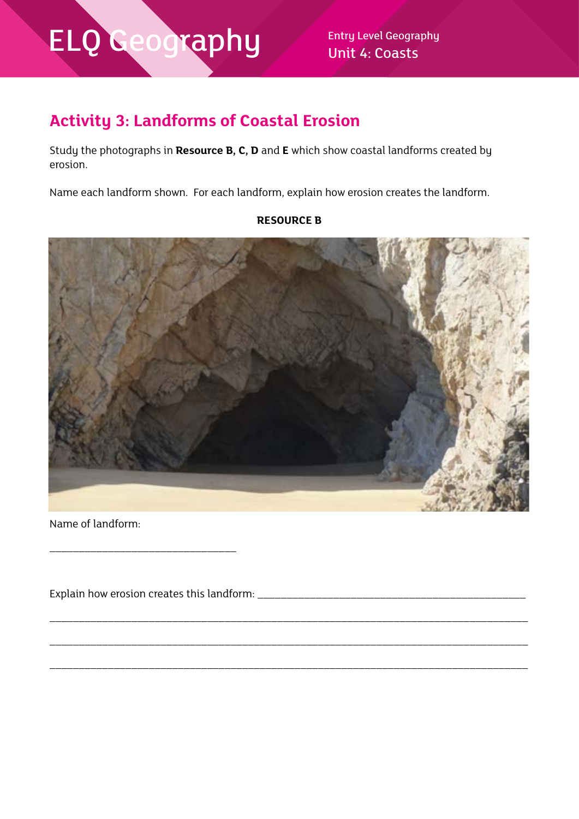Unit 4: Coasts

### **Activity 3: Landforms of Coastal Erosion**

Study the photographs in **Resource B, C, D** and **E** which show coastal landforms created by erosion.

Name each landform shown. For each landform, explain how erosion creates the landform.

#### **RESOURCE B**



\_\_\_\_\_\_\_\_\_\_\_\_\_\_\_\_\_\_\_\_\_\_\_\_\_\_\_\_\_\_\_\_\_\_\_\_\_\_\_\_\_\_\_\_\_\_\_\_\_\_\_\_\_\_\_\_\_\_\_\_\_\_\_\_\_\_\_\_\_\_\_\_\_\_\_\_\_\_\_\_\_\_

\_\_\_\_\_\_\_\_\_\_\_\_\_\_\_\_\_\_\_\_\_\_\_\_\_\_\_\_\_\_\_\_\_\_\_\_\_\_\_\_\_\_\_\_\_\_\_\_\_\_\_\_\_\_\_\_\_\_\_\_\_\_\_\_\_\_\_\_\_\_\_\_\_\_\_\_\_\_\_\_\_\_

\_\_\_\_\_\_\_\_\_\_\_\_\_\_\_\_\_\_\_\_\_\_\_\_\_\_\_\_\_\_\_\_\_\_\_\_\_\_\_\_\_\_\_\_\_\_\_\_\_\_\_\_\_\_\_\_\_\_\_\_\_\_\_\_\_\_\_\_\_\_\_\_\_\_\_\_\_\_\_\_\_\_

Name of landform:

Explain how erosion creates this landform: \_\_\_\_\_\_\_\_\_\_\_\_\_\_\_\_\_\_\_\_\_\_\_\_\_\_\_\_\_\_\_\_\_\_\_\_\_\_\_\_\_\_\_\_\_\_

\_\_\_\_\_\_\_\_\_\_\_\_\_\_\_\_\_\_\_\_\_\_\_\_\_\_\_\_\_\_\_\_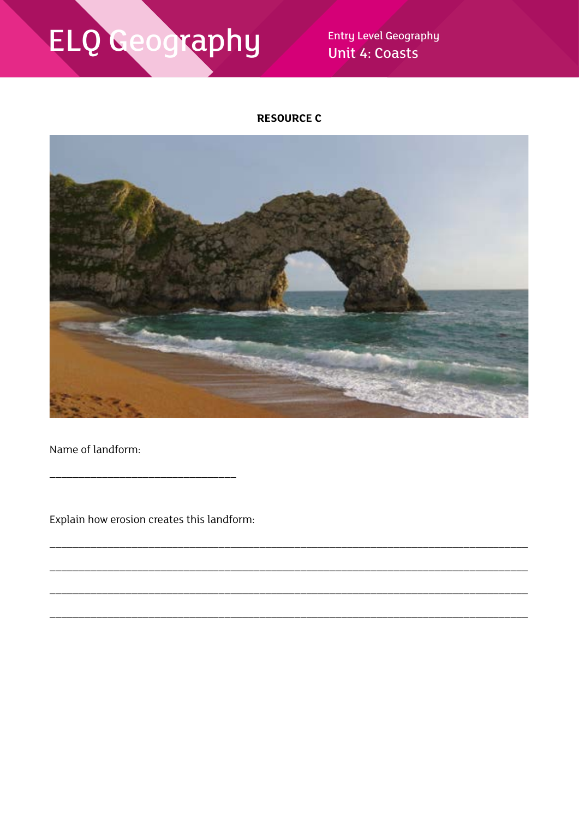**Entry Level Geography** Unit 4: Coasts

#### **RESOURCE C**



Name of landform:

Explain how erosion creates this landform: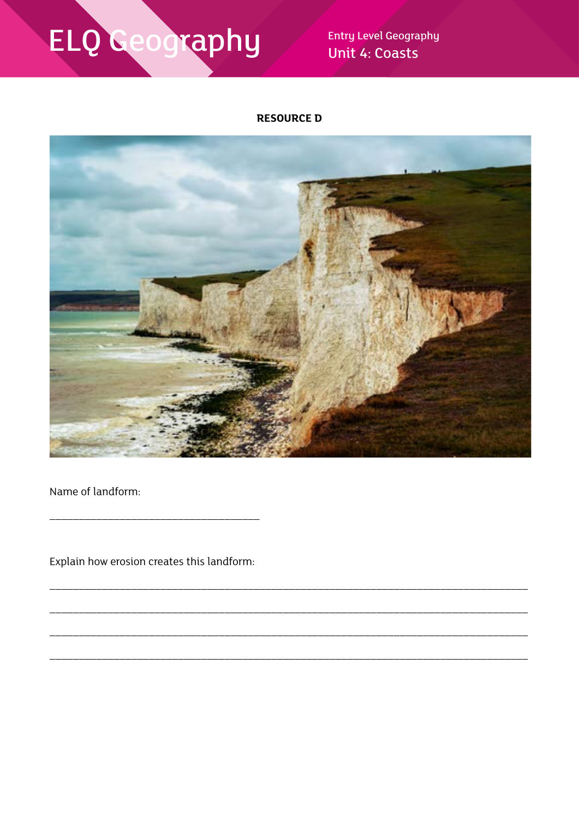**Entry Level Geography** Unit 4: Coasts

#### **RESOURCE D**



Name of landform:

Explain how erosion creates this landform: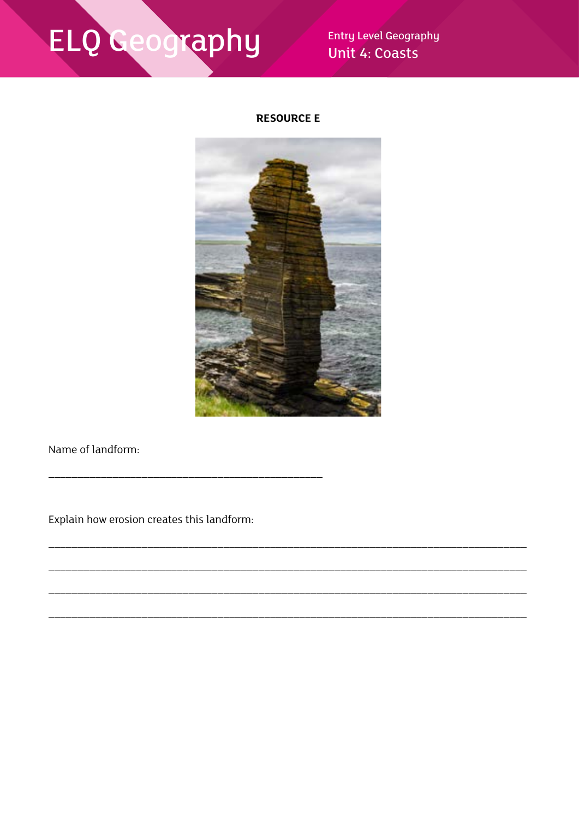**Entry Level Geography** Unit 4: Coasts

#### **RESOURCE E**



Name of landform:

Explain how erosion creates this landform: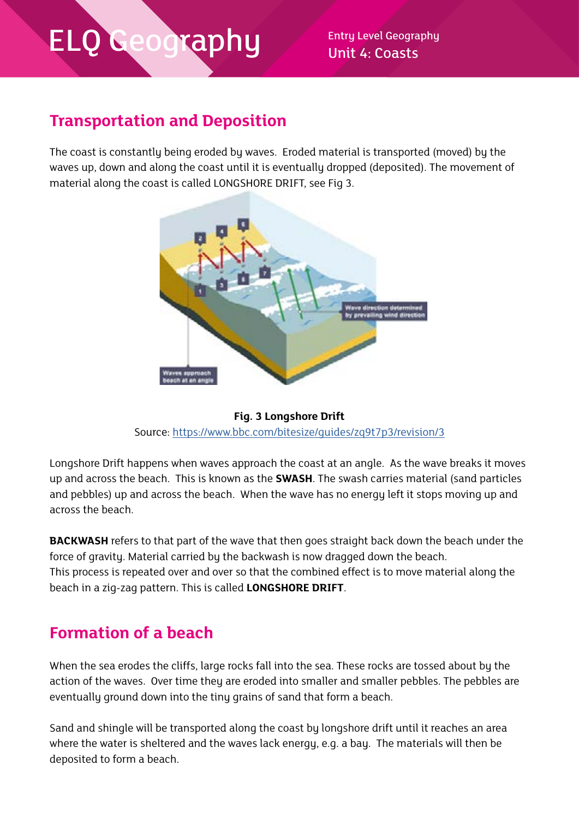Unit 4: Coasts

### **Transportation and Deposition**

The coast is constantly being eroded by waves. Eroded material is transported (moved) by the waves up, down and along the coast until it is eventually dropped (deposited). The movement of material along the coast is called LONGSHORE DRIFT, see Fig 3.





Longshore Drift happens when waves approach the coast at an angle. As the wave breaks it moves up and across the beach. This is known as the **SWASH**. The swash carries material (sand particles and pebbles) up and across the beach. When the wave has no energy left it stops moving up and across the beach.

**BACKWASH** refers to that part of the wave that then goes straight back down the beach under the force of gravity. Material carried by the backwash is now dragged down the beach. This process is repeated over and over so that the combined effect is to move material along the beach in a zig-zag pattern. This is called **LONGSHORE DRIFT**.

#### **Formation of a beach**

When the sea erodes the cliffs, large rocks fall into the sea. These rocks are tossed about by the action of the waves. Over time they are eroded into smaller and smaller pebbles. The pebbles are eventually ground down into the tiny grains of sand that form a beach.

Sand and shingle will be transported along the coast by longshore drift until it reaches an area where the water is sheltered and the waves lack energy, e.g. a bay. The materials will then be deposited to form a beach.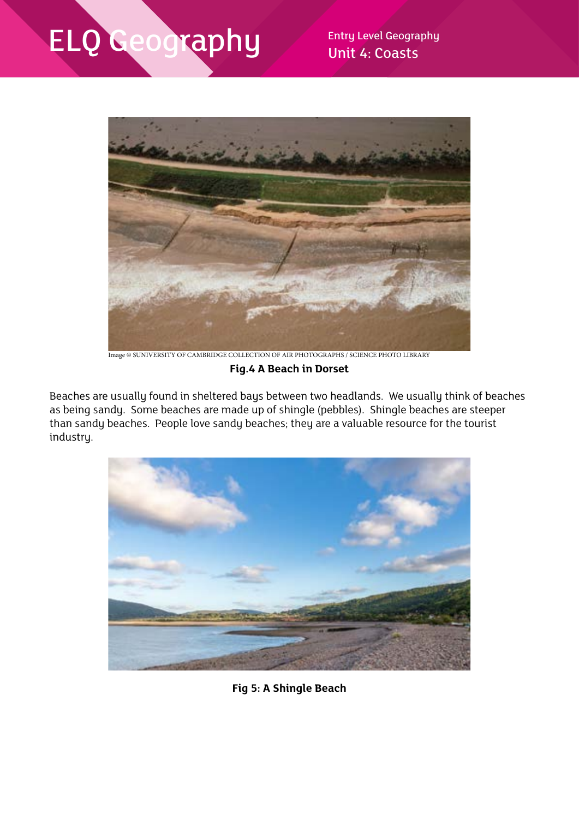

Image © SUNIVERSITY OF CAMBRIDGE COLLECTION OF AIR PHOTOGRAPHS / SCIENCE PHOTO LIBRARY

**Fig.4 A Beach in Dorset**

Beaches are usually found in sheltered bays between two headlands. We usually think of beaches as being sandy. Some beaches are made up of shingle (pebbles). Shingle beaches are steeper than sandy beaches. People love sandy beaches; they are a valuable resource for the tourist industry.



**Fig 5: A Shingle Beach**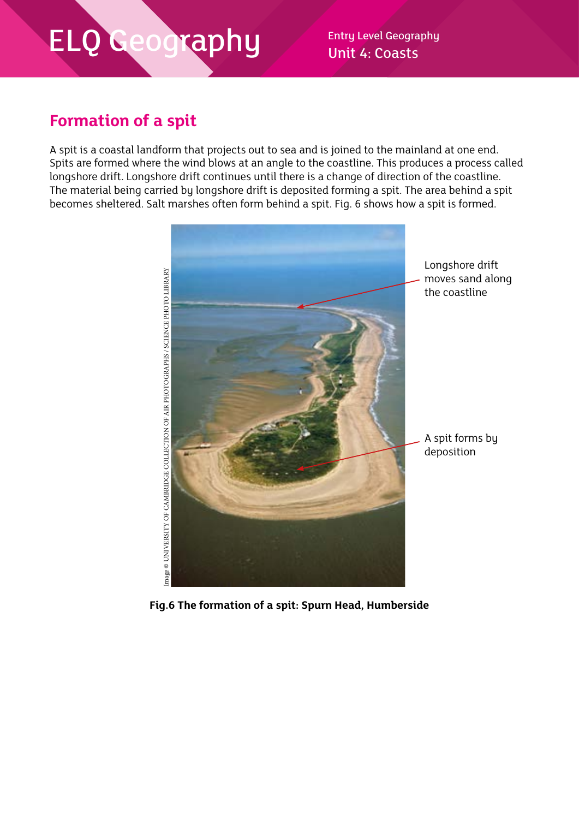Unit 4: Coasts

### **Formation of a spit**

A spit is a coastal landform that projects out to sea and is joined to the mainland at one end. Spits are formed where the wind blows at an angle to the coastline. This produces a process called longshore drift. Longshore drift continues until there is a change of direction of the coastline. The material being carried by longshore drift is deposited forming a spit. The area behind a spit becomes sheltered. Salt marshes often form behind a spit. Fig. 6 shows how a spit is formed.



**Fig.6 The formation of a spit: Spurn Head, Humberside**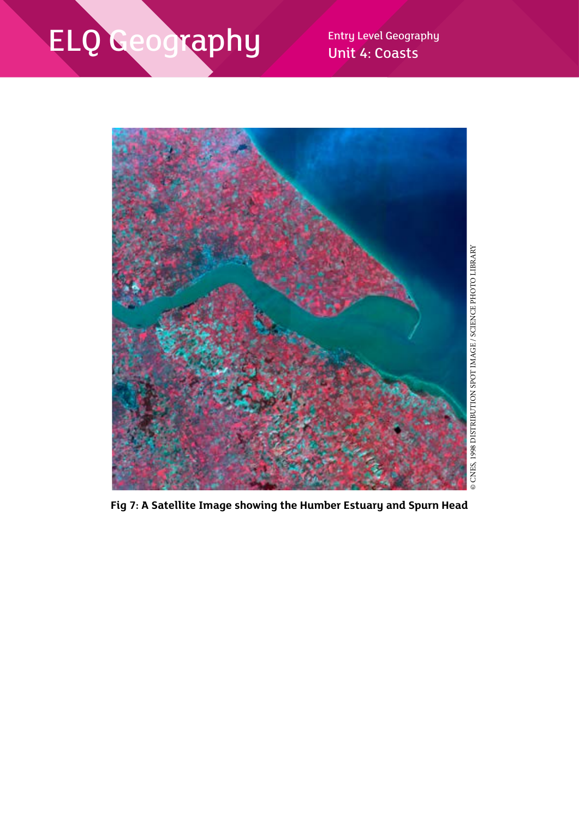Unit 4: Coasts



**Fig 7: A Satellite Image showing the Humber Estuary and Spurn Head**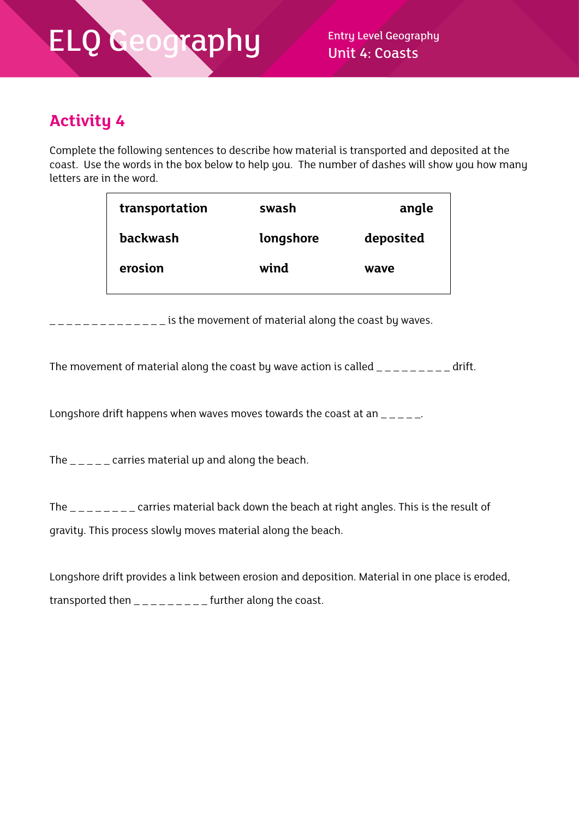### **Activity 4**

Complete the following sentences to describe how material is transported and deposited at the coast. Use the words in the box below to help you. The number of dashes will show you how many letters are in the word.

| transportation  | swash     | angle     |
|-----------------|-----------|-----------|
| <b>backwash</b> | longshore | deposited |
| erosion         | wind      | wave      |
|                 |           |           |

 $\frac{1}{2}$   $\frac{1}{2}$   $\frac{1}{2}$   $\frac{1}{2}$   $\frac{1}{2}$   $\frac{1}{2}$  is the movement of material along the coast by waves.

The movement of material along the coast by wave action is called  $\mu_{\text{max}} = \mu_{\text{max}} = 1$ 

Longshore drift happens when waves moves towards the coast at an  $\frac{1}{2}$ 

The  $\mu_{\text{max}}$  carries material up and along the beach.

The \_\_\_\_\_\_\_ carries material back down the beach at right angles. This is the result of gravity. This process slowly moves material along the beach.

Longshore drift provides a link between erosion and deposition. Material in one place is eroded, transported then  $\frac{1}{2}$  =  $\frac{1}{2}$  =  $\frac{1}{2}$  =  $\frac{1}{2}$  further along the coast.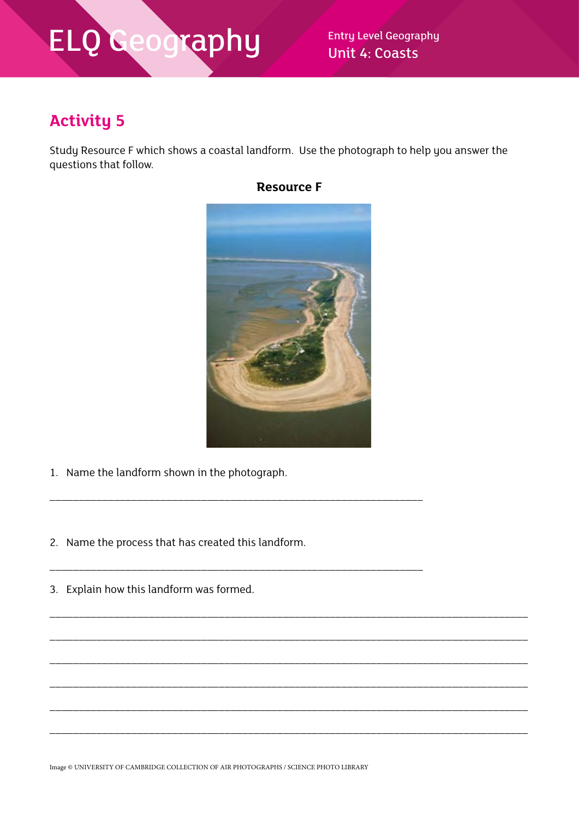Unit 4: Coasts

### **Activity 5**

Study Resource F which shows a coastal landform. Use the photograph to help you answer the questions that follow.



\_\_\_\_\_\_\_\_\_\_\_\_\_\_\_\_\_\_\_\_\_\_\_\_\_\_\_\_\_\_\_\_\_\_\_\_\_\_\_\_\_\_\_\_\_\_\_\_\_\_\_\_\_\_\_\_\_\_\_\_\_\_\_\_\_\_\_\_\_\_\_\_\_\_\_\_\_\_\_\_\_\_

\_\_\_\_\_\_\_\_\_\_\_\_\_\_\_\_\_\_\_\_\_\_\_\_\_\_\_\_\_\_\_\_\_\_\_\_\_\_\_\_\_\_\_\_\_\_\_\_\_\_\_\_\_\_\_\_\_\_\_\_\_\_\_\_\_\_\_\_\_\_\_\_\_\_\_\_\_\_\_\_\_\_

\_\_\_\_\_\_\_\_\_\_\_\_\_\_\_\_\_\_\_\_\_\_\_\_\_\_\_\_\_\_\_\_\_\_\_\_\_\_\_\_\_\_\_\_\_\_\_\_\_\_\_\_\_\_\_\_\_\_\_\_\_\_\_\_\_\_\_\_\_\_\_\_\_\_\_\_\_\_\_\_\_\_

\_\_\_\_\_\_\_\_\_\_\_\_\_\_\_\_\_\_\_\_\_\_\_\_\_\_\_\_\_\_\_\_\_\_\_\_\_\_\_\_\_\_\_\_\_\_\_\_\_\_\_\_\_\_\_\_\_\_\_\_\_\_\_\_\_\_\_\_\_\_\_\_\_\_\_\_\_\_\_\_\_\_

\_\_\_\_\_\_\_\_\_\_\_\_\_\_\_\_\_\_\_\_\_\_\_\_\_\_\_\_\_\_\_\_\_\_\_\_\_\_\_\_\_\_\_\_\_\_\_\_\_\_\_\_\_\_\_\_\_\_\_\_\_\_\_\_\_\_\_\_\_\_\_\_\_\_\_\_\_\_\_\_\_\_

\_\_\_\_\_\_\_\_\_\_\_\_\_\_\_\_\_\_\_\_\_\_\_\_\_\_\_\_\_\_\_\_\_\_\_\_\_\_\_\_\_\_\_\_\_\_\_\_\_\_\_\_\_\_\_\_\_\_\_\_\_\_\_\_\_\_\_\_\_\_\_\_\_\_\_\_\_\_\_\_\_\_

- 1. Name the landform shown in the photograph.
- 2. Name the process that has created this landform.

\_\_\_\_\_\_\_\_\_\_\_\_\_\_\_\_\_\_\_\_\_\_\_\_\_\_\_\_\_\_\_\_\_\_\_\_\_\_\_\_\_\_\_\_\_\_\_\_\_\_\_\_\_\_\_\_\_\_\_\_\_\_\_\_

\_\_\_\_\_\_\_\_\_\_\_\_\_\_\_\_\_\_\_\_\_\_\_\_\_\_\_\_\_\_\_\_\_\_\_\_\_\_\_\_\_\_\_\_\_\_\_\_\_\_\_\_\_\_\_\_\_\_\_\_\_\_\_\_

3. Explain how this landform was formed.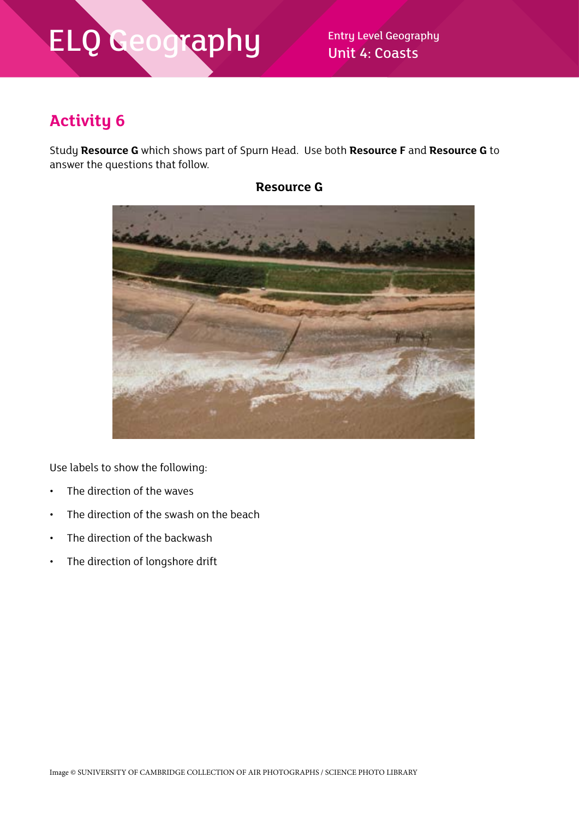Unit 4: Coasts

### **Activity 6**

Study **Resource G** which shows part of Spurn Head. Use both **Resource F** and **Resource G** to answer the questions that follow.



**Resource G**

Use labels to show the following:

- The direction of the waves
- The direction of the swash on the beach
- The direction of the backwash
- The direction of longshore drift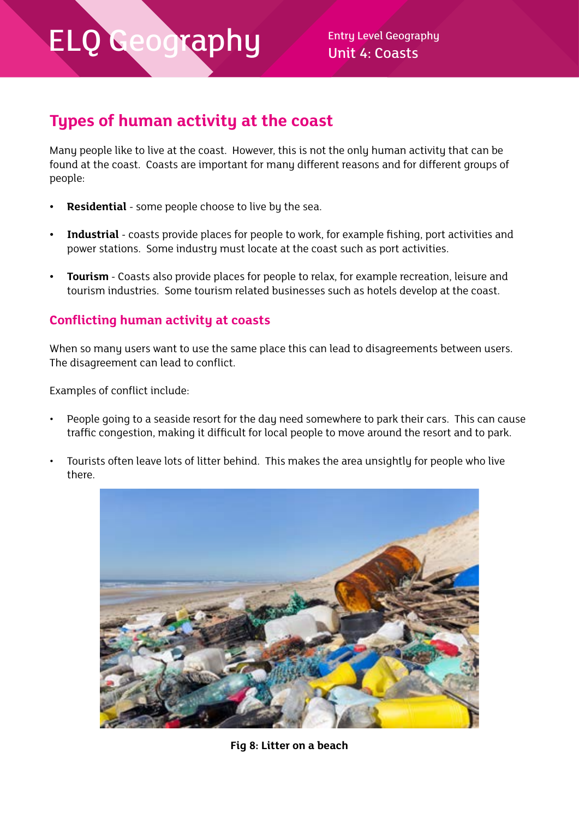### **Types of human activity at the coast**

Many people like to live at the coast. However, this is not the only human activity that can be found at the coast. Coasts are important for many different reasons and for different groups of people:

- **• Residential**  some people choose to live by the sea.
- **• Industrial**  coasts provide places for people to work, for example fishing, port activities and power stations. Some industry must locate at the coast such as port activities.
- **• Tourism** Coasts also provide places for people to relax, for example recreation, leisure and tourism industries. Some tourism related businesses such as hotels develop at the coast.

#### **Conflicting human activity at coasts**

When so many users want to use the same place this can lead to disagreements between users. The disagreement can lead to conflict.

Examples of conflict include:

- People going to a seaside resort for the day need somewhere to park their cars. This can cause traffic congestion, making it difficult for local people to move around the resort and to park.
- Tourists often leave lots of litter behind. This makes the area unsightly for people who live there.



**Fig 8: Litter on a beach**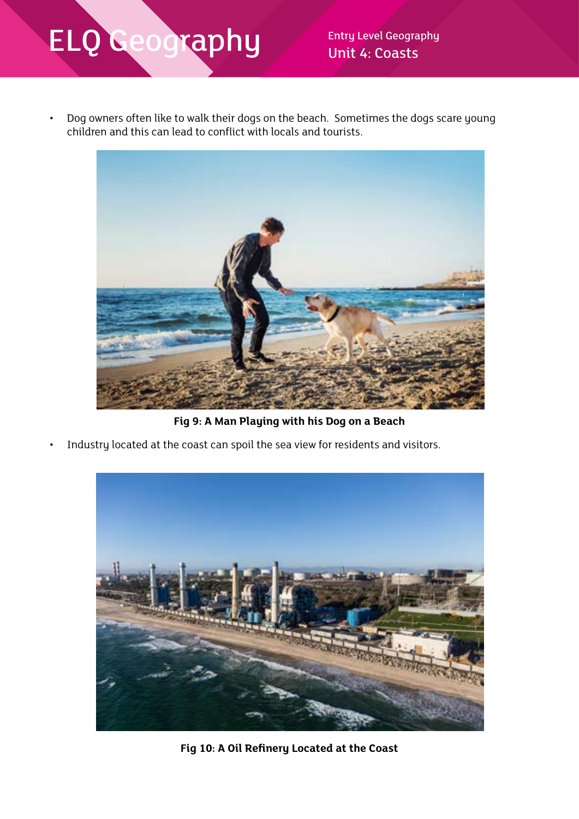• Dog owners often like to walk their dogs on the beach. Sometimes the dogs scare young children and this can lead to conflict with locals and tourists.



**Fig 9: A Man Playing with his Dog on a Beach**

Industry located at the coast can spoil the sea view for residents and visitors.



**Fig 10: A Oil Refinery Located at the Coast**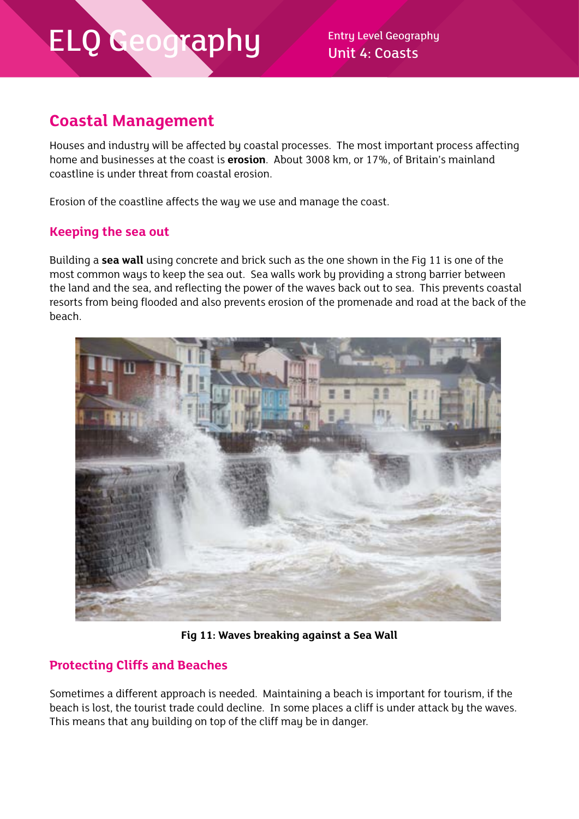Unit 4: Coasts

### **Coastal Management**

Houses and industry will be affected by coastal processes. The most important process affecting home and businesses at the coast is **erosion**. About 3008 km, or 17%, of Britain's mainland coastline is under threat from coastal erosion.

Erosion of the coastline affects the way we use and manage the coast.

#### **Keeping the sea out**

Building a **sea wall** using concrete and brick such as the one shown in the Fig 11 is one of the most common ways to keep the sea out. Sea walls work by providing a strong barrier between the land and the sea, and reflecting the power of the waves back out to sea. This prevents coastal resorts from being flooded and also prevents erosion of the promenade and road at the back of the beach.



**Fig 11: Waves breaking against a Sea Wall**

#### **Protecting Cliffs and Beaches**

Sometimes a different approach is needed. Maintaining a beach is important for tourism, if the beach is lost, the tourist trade could decline. In some places a cliff is under attack by the waves. This means that any building on top of the cliff may be in danger.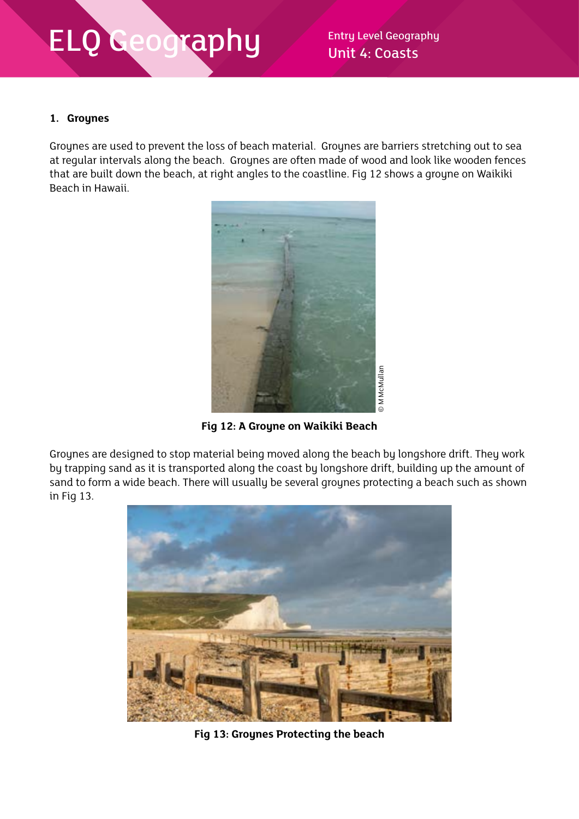#### **1. Groynes**

Groynes are used to prevent the loss of beach material. Groynes are barriers stretching out to sea at regular intervals along the beach. Groynes are often made of wood and look like wooden fences that are built down the beach, at right angles to the coastline. Fig 12 shows a groyne on Waikiki Beach in Hawaii.



**Fig 12: A Groyne on Waikiki Beach**

Groynes are designed to stop material being moved along the beach by longshore drift. They work by trapping sand as it is transported along the coast by longshore drift, building up the amount of sand to form a wide beach. There will usually be several groynes protecting a beach such as shown in Fig 13.

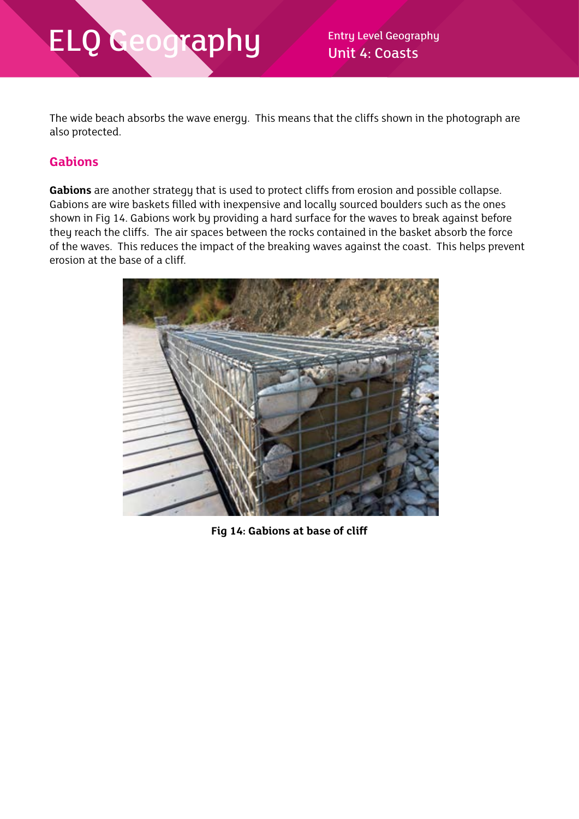Unit 4: Coasts

The wide beach absorbs the wave energy. This means that the cliffs shown in the photograph are also protected.

#### **Gabions**

**Gabions** are another strategy that is used to protect cliffs from erosion and possible collapse. Gabions are wire baskets filled with inexpensive and locally sourced boulders such as the ones shown in Fig 14. Gabions work by providing a hard surface for the waves to break against before they reach the cliffs. The air spaces between the rocks contained in the basket absorb the force of the waves. This reduces the impact of the breaking waves against the coast. This helps prevent erosion at the base of a cliff.



**Fig 14: Gabions at base of cliff**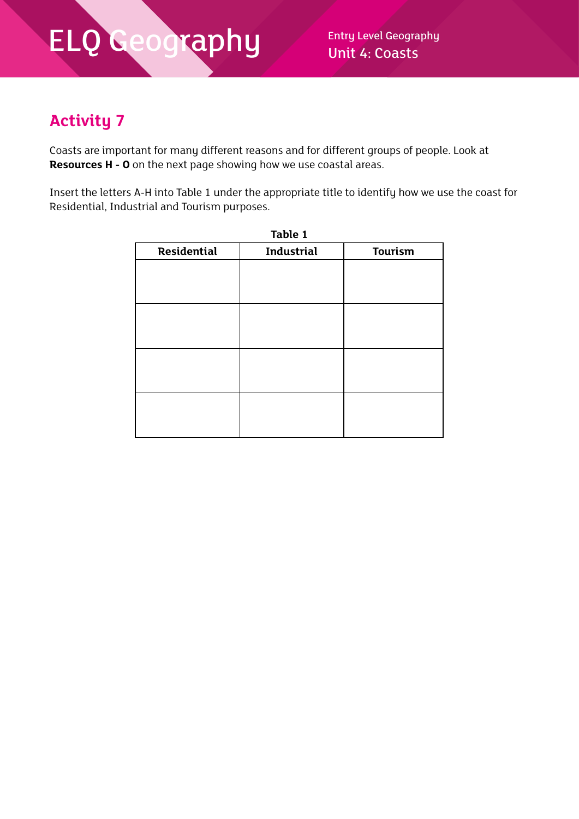### **Activity 7**

Coasts are important for many different reasons and for different groups of people. Look at **Resources H - O** on the next page showing how we use coastal areas.

Insert the letters A-H into Table 1 under the appropriate title to identify how we use the coast for Residential, Industrial and Tourism purposes.

| Residential | <b>Industrial</b> | Tourism |
|-------------|-------------------|---------|
|             |                   |         |
|             |                   |         |
|             |                   |         |
|             |                   |         |
|             |                   |         |
|             |                   |         |
|             |                   |         |
|             |                   |         |
|             |                   |         |
|             |                   |         |
|             |                   |         |
|             |                   |         |
|             |                   |         |
|             |                   |         |
|             |                   |         |
|             |                   |         |
|             |                   |         |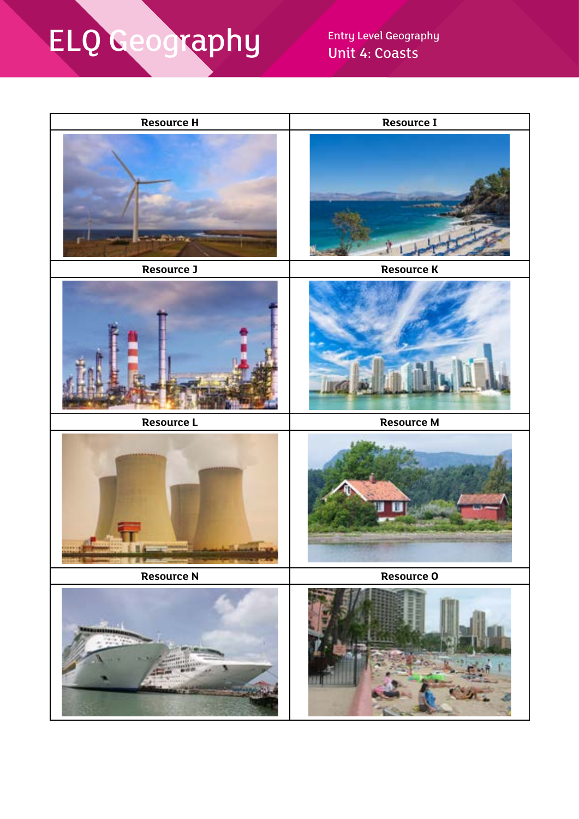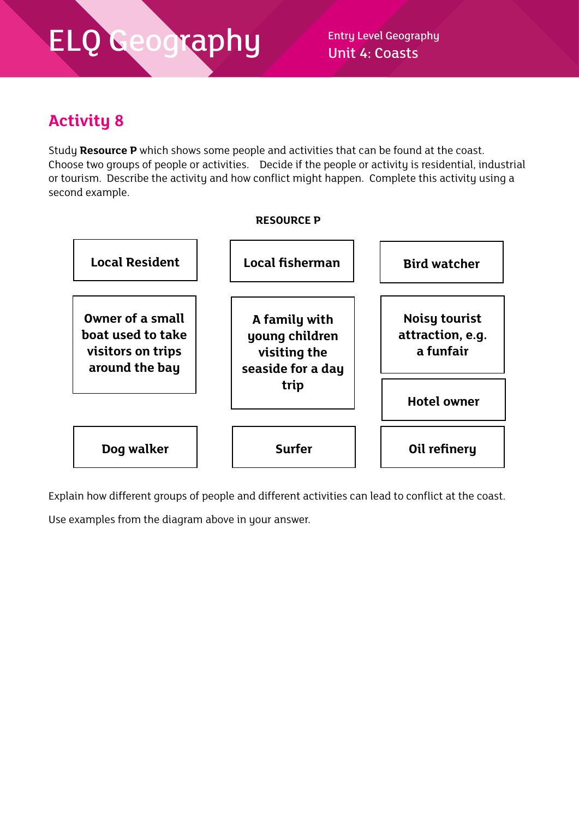### **Activity 8**

Study **Resource P** which shows some people and activities that can be found at the coast. Choose two groups of people or activities. Decide if the people or activity is residential, industrial or tourism. Describe the activity and how conflict might happen. Complete this activity using a second example.

#### **RESOURCE P**



Explain how different groups of people and different activities can lead to conflict at the coast.

Use examples from the diagram above in your answer.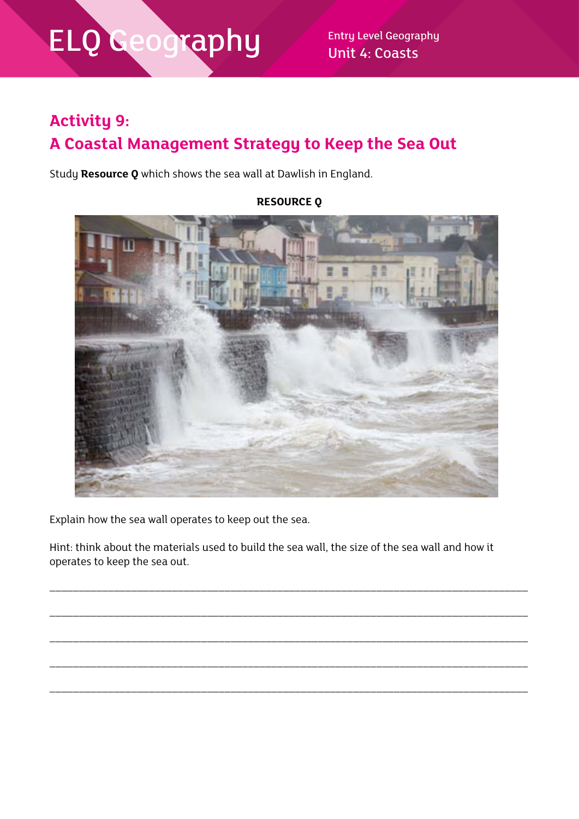Unit 4: Coasts

### **Activity 9: A Coastal Management Strategy to Keep the Sea Out**

Study **Resource Q** which shows the sea wall at Dawlish in England.

Explain how the sea wall operates to keep out the sea.

Hint: think about the materials used to build the sea wall, the size of the sea wall and how it operates to keep the sea out.

\_\_\_\_\_\_\_\_\_\_\_\_\_\_\_\_\_\_\_\_\_\_\_\_\_\_\_\_\_\_\_\_\_\_\_\_\_\_\_\_\_\_\_\_\_\_\_\_\_\_\_\_\_\_\_\_\_\_\_\_\_\_\_\_\_\_\_\_\_\_\_\_\_\_\_\_\_\_\_\_\_\_

\_\_\_\_\_\_\_\_\_\_\_\_\_\_\_\_\_\_\_\_\_\_\_\_\_\_\_\_\_\_\_\_\_\_\_\_\_\_\_\_\_\_\_\_\_\_\_\_\_\_\_\_\_\_\_\_\_\_\_\_\_\_\_\_\_\_\_\_\_\_\_\_\_\_\_\_\_\_\_\_\_\_

\_\_\_\_\_\_\_\_\_\_\_\_\_\_\_\_\_\_\_\_\_\_\_\_\_\_\_\_\_\_\_\_\_\_\_\_\_\_\_\_\_\_\_\_\_\_\_\_\_\_\_\_\_\_\_\_\_\_\_\_\_\_\_\_\_\_\_\_\_\_\_\_\_\_\_\_\_\_\_\_\_\_

\_\_\_\_\_\_\_\_\_\_\_\_\_\_\_\_\_\_\_\_\_\_\_\_\_\_\_\_\_\_\_\_\_\_\_\_\_\_\_\_\_\_\_\_\_\_\_\_\_\_\_\_\_\_\_\_\_\_\_\_\_\_\_\_\_\_\_\_\_\_\_\_\_\_\_\_\_\_\_\_\_\_

\_\_\_\_\_\_\_\_\_\_\_\_\_\_\_\_\_\_\_\_\_\_\_\_\_\_\_\_\_\_\_\_\_\_\_\_\_\_\_\_\_\_\_\_\_\_\_\_\_\_\_\_\_\_\_\_\_\_\_\_\_\_\_\_\_\_\_\_\_\_\_\_\_\_\_\_\_\_\_\_\_\_

**RESOURCE Q**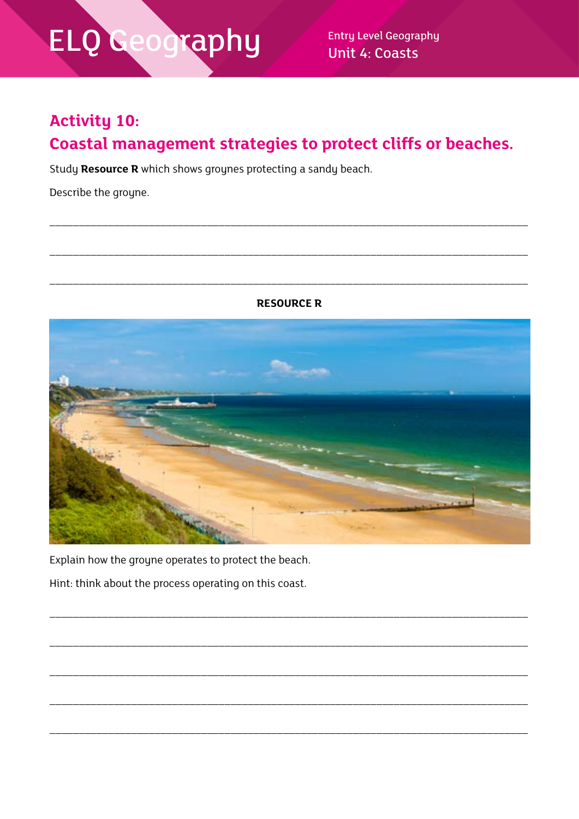**Entry Level Geography Unit 4: Coasts** 

### **Activity 10:**

### Coastal management strategies to protect cliffs or beaches.

Study Resource R which shows groynes protecting a sandy beach.

Describe the groyne.

**RESOURCE R** 



Explain how the groyne operates to protect the beach.

Hint: think about the process operating on this coast.